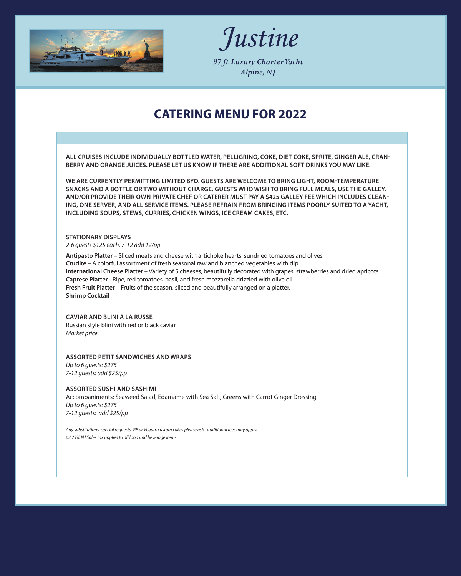



*97 ft Luxury Charter Yacht Alpine, NJ*

### **CATERING MENU FOR 2022**

**ALL CRUISES INCLUDE INDIVIDUALLY BOTTLED WATER, PELLIGRINO, COKE, DIET COKE, SPRITE, GINGER ALE, CRAN-BERRY AND ORANGE JUICES. PLEASE LET US KNOW IF THERE ARE ADDITIONAL SOFT DRINKS YOU MAY LIKE.**

**WE ARE CURRENTLY PERMITTING LIMITED BYO. GUESTS ARE WELCOME TO BRING LIGHT, ROOM-TEMPERATURE SNACKS AND A BOTTLE OR TWO WITHOUT CHARGE. GUESTS WHO WISH TO BRING FULL MEALS, USE THE GALLEY, AND/OR PROVIDE THEIR OWN PRIVATE CHEF OR CATERER MUST PAY A \$425 GALLEY FEE WHICH INCLUDES CLEAN-ING, ONE SERVER, AND ALL SERVICE ITEMS. PLEASE REFRAIN FROM BRINGING ITEMS POORLY SUITED TO A YACHT, INCLUDING SOUPS, STEWS, CURRIES, CHICKEN WINGS, ICE CREAM CAKES, ETC.**

### **STATIONARY DISPLAYS**

*2-6 guests \$125 each. 7-12 add 12/pp*

**Antipasto Platter** – Sliced meats and cheese with artichoke hearts, sundried tomatoes and olives **Crudite** – A colorful assortment of fresh seasonal raw and blanched vegetables with dip **International Cheese Platter** – Variety of 5 cheeses, beautifully decorated with grapes, strawberries and dried apricots **Caprese Platter** - Ripe, red tomatoes, basil, and fresh mozzarella drizzled with olive oil **Fresh Fruit Platter** – Fruits of the season, sliced and beautifully arranged on a platter. **Shrimp Cocktail**

#### **CAVIAR AND BLINI À LA RUSSE** Russian style blini with red or black caviar *Market price*

### **ASSORTED PETIT SANDWICHES AND WRAPS**

*Up to 6 guests: \$275 7-12 guests: add \$25/pp*

#### **ASSORTED SUSHI AND SASHIMI**

Accompaniments: Seaweed Salad, Edamame with Sea Salt, Greens with Carrot Ginger Dressing *Up to 6 guests: \$275 7-12 guests: add \$25/pp*

*Any substitutions, special requests, GF or Vegan, custom cakes please ask - additional fees may apply. 6.625% NJ Sales tax applies to all food and beverage items.*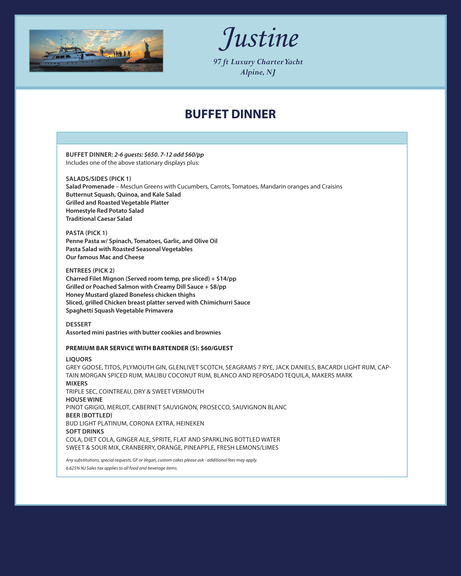



*97 ft Luxury Charter Yacht Alpine, NJ*

# **BUFFET DINNER**

**BUFFET DINNER:** *2-6 guests: \$650. 7-12 add \$60/pp*  Includes one of the above stationary displays plus: **SALADS/SIDES (PICK 1) Salad Promenade** – Mesclun Greens with Cucumbers, Carrots, Tomatoes, Mandarin oranges and Craisins **Butternut Squash, Quinoa, and Kale Salad Grilled and Roasted Vegetable Platter Homestyle Red Potato Salad Traditional Caesar Salad PASTA (PICK 1) Penne Pasta w/ Spinach, Tomatoes, Garlic, and Olive Oil Pasta Salad with Roasted Seasonal Vegetables Our famous Mac and Cheese ENTREES (PICK 2) Charred Filet Mignon (Served room temp, pre sliced) + \$14/pp Grilled or Poached Salmon with Creamy Dill Sauce + \$8/pp Honey Mustard glazed Boneless chicken thighs Sliced, grilled Chicken breast platter served with Chimichurri Sauce Spaghetti Squash Vegetable Primavera DESSERT Assorted mini pastries with butter cookies and brownies PREMIUM BAR SERVICE WITH BARTENDER (S): \$60/GUEST LIQUORS** GREY GOOSE, TITOS, PLYMOUTH GIN, GLENLIVET SCOTCH, SEAGRAMS 7 RYE, JACK DANIELS, BACARDI LIGHT RUM, CAP-TAIN MORGAN SPICED RUM, MALIBU COCONUT RUM, BLANCO AND REPOSADO TEQUILA, MAKERS MARK **MIXERS** TRIPLE SEC, COINTREAU, DRY & SWEET VERMOUTH **HOUSE WINE** PINOT GRIGIO, MERLOT, CABERNET SAUVIGNON, PROSECCO, SAUVIGNON BLANC **BEER (BOTTLED)** BUD LIGHT PLATINUM, CORONA EXTRA, HEINEKEN **SOFT DRINKS** COLA, DIET COLA, GINGER ALE, SPRITE, FLAT AND SPARKLING BOTTLED WATER SWEET & SOUR MIX, CRANBERRY, ORANGE, PINEAPPLE, FRESH LEMONS/LIMES *Any substitutions, special requests, GF or Vegan, custom cakes please ask - additional fees may apply. 6.625% NJ Sales tax applies to all food and beverage items.*